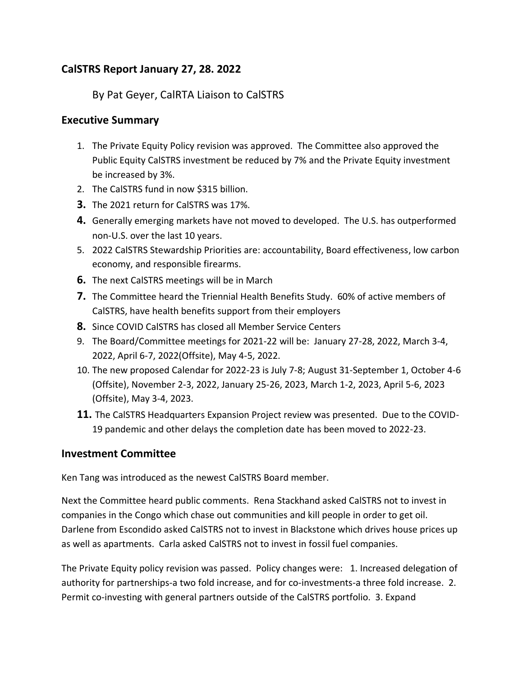# **CalSTRS Report January 27, 28. 2022**

# By Pat Geyer, CalRTA Liaison to CalSTRS

#### **Executive Summary**

- 1. The Private Equity Policy revision was approved. The Committee also approved the Public Equity CalSTRS investment be reduced by 7% and the Private Equity investment be increased by 3%.
- 2. The CalSTRS fund in now \$315 billion.
- **3.** The 2021 return for CalSTRS was 17%.
- **4.** Generally emerging markets have not moved to developed. The U.S. has outperformed non-U.S. over the last 10 years.
- 5. 2022 CalSTRS Stewardship Priorities are: accountability, Board effectiveness, low carbon economy, and responsible firearms.
- **6.** The next CalSTRS meetings will be in March
- **7.** The Committee heard the Triennial Health Benefits Study. 60% of active members of CalSTRS, have health benefits support from their employers
- **8.** Since COVID CalSTRS has closed all Member Service Centers
- 9. The Board/Committee meetings for 2021-22 will be: January 27-28, 2022, March 3-4, 2022, April 6-7, 2022(Offsite), May 4-5, 2022.
- 10. The new proposed Calendar for 2022-23 is July 7-8; August 31-September 1, October 4-6 (Offsite), November 2-3, 2022, January 25-26, 2023, March 1-2, 2023, April 5-6, 2023 (Offsite), May 3-4, 2023.
- **11.** The CalSTRS Headquarters Expansion Project review was presented. Due to the COVID-19 pandemic and other delays the completion date has been moved to 2022-23.

# **Investment Committee**

Ken Tang was introduced as the newest CalSTRS Board member.

Next the Committee heard public comments. Rena Stackhand asked CalSTRS not to invest in companies in the Congo which chase out communities and kill people in order to get oil. Darlene from Escondido asked CalSTRS not to invest in Blackstone which drives house prices up as well as apartments. Carla asked CalSTRS not to invest in fossil fuel companies.

The Private Equity policy revision was passed. Policy changes were: 1. Increased delegation of authority for partnerships-a two fold increase, and for co-investments-a three fold increase. 2. Permit co-investing with general partners outside of the CalSTRS portfolio. 3. Expand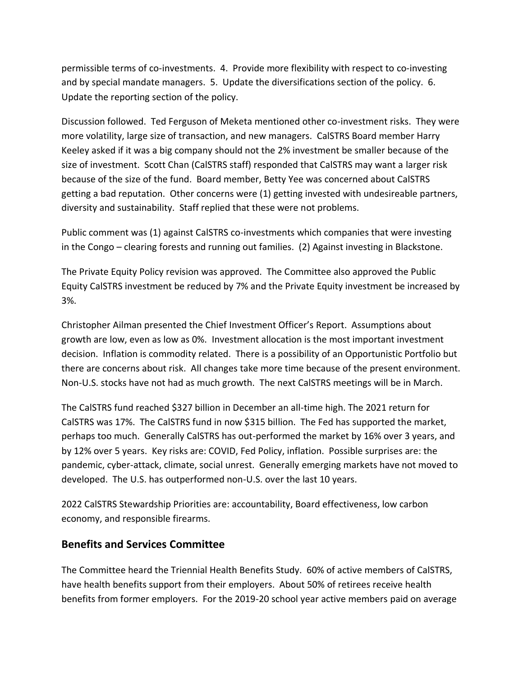permissible terms of co-investments. 4. Provide more flexibility with respect to co-investing and by special mandate managers. 5. Update the diversifications section of the policy. 6. Update the reporting section of the policy.

Discussion followed. Ted Ferguson of Meketa mentioned other co-investment risks. They were more volatility, large size of transaction, and new managers. CalSTRS Board member Harry Keeley asked if it was a big company should not the 2% investment be smaller because of the size of investment. Scott Chan (CalSTRS staff) responded that CalSTRS may want a larger risk because of the size of the fund. Board member, Betty Yee was concerned about CalSTRS getting a bad reputation. Other concerns were (1) getting invested with undesireable partners, diversity and sustainability. Staff replied that these were not problems.

Public comment was (1) against CalSTRS co-investments which companies that were investing in the Congo – clearing forests and running out families. (2) Against investing in Blackstone.

The Private Equity Policy revision was approved. The Committee also approved the Public Equity CalSTRS investment be reduced by 7% and the Private Equity investment be increased by 3%.

Christopher Ailman presented the Chief Investment Officer's Report. Assumptions about growth are low, even as low as 0%. Investment allocation is the most important investment decision. Inflation is commodity related. There is a possibility of an Opportunistic Portfolio but there are concerns about risk. All changes take more time because of the present environment. Non-U.S. stocks have not had as much growth. The next CalSTRS meetings will be in March.

The CalSTRS fund reached \$327 billion in December an all-time high. The 2021 return for CalSTRS was 17%. The CalSTRS fund in now \$315 billion. The Fed has supported the market, perhaps too much. Generally CalSTRS has out-performed the market by 16% over 3 years, and by 12% over 5 years. Key risks are: COVID, Fed Policy, inflation. Possible surprises are: the pandemic, cyber-attack, climate, social unrest. Generally emerging markets have not moved to developed. The U.S. has outperformed non-U.S. over the last 10 years.

2022 CalSTRS Stewardship Priorities are: accountability, Board effectiveness, low carbon economy, and responsible firearms.

#### **Benefits and Services Committee**

The Committee heard the Triennial Health Benefits Study. 60% of active members of CalSTRS, have health benefits support from their employers. About 50% of retirees receive health benefits from former employers. For the 2019-20 school year active members paid on average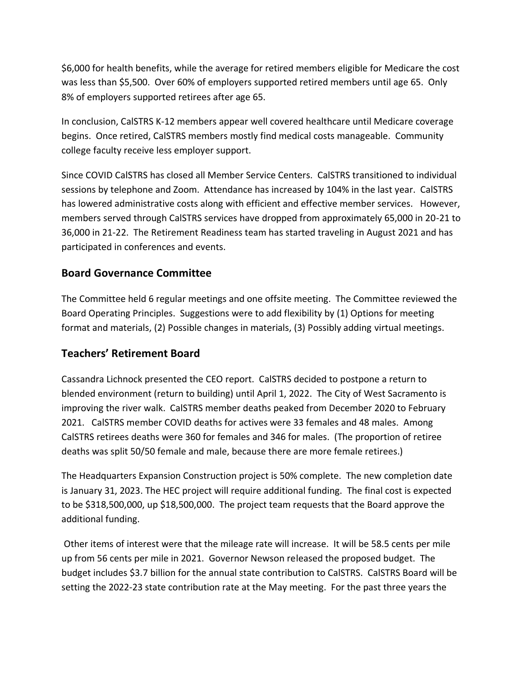\$6,000 for health benefits, while the average for retired members eligible for Medicare the cost was less than \$5,500. Over 60% of employers supported retired members until age 65. Only 8% of employers supported retirees after age 65.

In conclusion, CalSTRS K-12 members appear well covered healthcare until Medicare coverage begins. Once retired, CalSTRS members mostly find medical costs manageable. Community college faculty receive less employer support.

Since COVID CalSTRS has closed all Member Service Centers. CalSTRS transitioned to individual sessions by telephone and Zoom. Attendance has increased by 104% in the last year. CalSTRS has lowered administrative costs along with efficient and effective member services. However, members served through CalSTRS services have dropped from approximately 65,000 in 20-21 to 36,000 in 21-22. The Retirement Readiness team has started traveling in August 2021 and has participated in conferences and events.

#### **Board Governance Committee**

The Committee held 6 regular meetings and one offsite meeting. The Committee reviewed the Board Operating Principles. Suggestions were to add flexibility by (1) Options for meeting format and materials, (2) Possible changes in materials, (3) Possibly adding virtual meetings.

# **Teachers' Retirement Board**

Cassandra Lichnock presented the CEO report. CalSTRS decided to postpone a return to blended environment (return to building) until April 1, 2022. The City of West Sacramento is improving the river walk. CalSTRS member deaths peaked from December 2020 to February 2021. CalSTRS member COVID deaths for actives were 33 females and 48 males. Among CalSTRS retirees deaths were 360 for females and 346 for males. (The proportion of retiree deaths was split 50/50 female and male, because there are more female retirees.)

The Headquarters Expansion Construction project is 50% complete. The new completion date is January 31, 2023. The HEC project will require additional funding. The final cost is expected to be \$318,500,000, up \$18,500,000. The project team requests that the Board approve the additional funding.

Other items of interest were that the mileage rate will increase. It will be 58.5 cents per mile up from 56 cents per mile in 2021. Governor Newson released the proposed budget. The budget includes \$3.7 billion for the annual state contribution to CalSTRS. CalSTRS Board will be setting the 2022-23 state contribution rate at the May meeting. For the past three years the